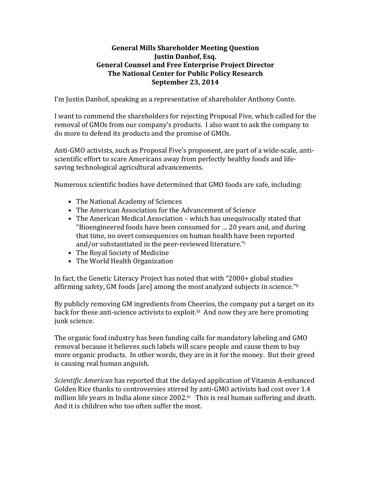## **General Mills Shareholder Meeting Question Justin Danhof, Esq. General Counsel and Free Enterprise Project Director The National Center for Public Policy Research September 23, 2014**

I'm Justin Danhof, speaking as a representative of shareholder Anthony Conte.

I want to commend the shareholders for rejecting Proposal Five, which called for the removal of GMOs from our company's products. I also want to ask the company to do more to defend its products and the promise of GMOs.

Anti-GMO activists, such as Proposal Five's proponent, are part of a wide-scale, antiscientific effort to scare Americans away from perfectly healthy foods and lifesaving technological agricultural advancements.

Numerous scientific bodies have determined that GMO foods are safe, including:

- The National Academy of Sciences
- The American Association for the Advancement of Science
- The American Medical Association which has unequivocally stated that "Bioengineered foods have been consumed for ... 20 years and, and during that time, no overt consequences on human health have been reported and/or substantiated in the peer-reviewed literature."<sup>i</sup>
- The Royal Society of Medicine
- The World Health Organization

In fact, the Genetic Literacy Project has noted that with "2000+ global studies affirming safety, GM foods [are] among the most analyzed subjects in science."ii

By publicly removing GM ingredients from Cheerios, the company put a target on its back for these anti-science activists to exploit.<sup>iii</sup> And now they are here promoting junk science.

The organic food industry has been funding calls for mandatory labeling and GMO removal because it believes such labels will scare people and cause them to buy more organic products. In other words, they are in it for the money. But their greed is causing real human anguish.

*Scientific American* has reported that the delayed application of Vitamin A-enhanced Golden Rice thanks to controversies stirred by anti-GMO activists had cost over 1.4 million life years in India alone since  $2002$ .<sup>iv</sup> This is real human suffering and death. And it is children who too often suffer the most.